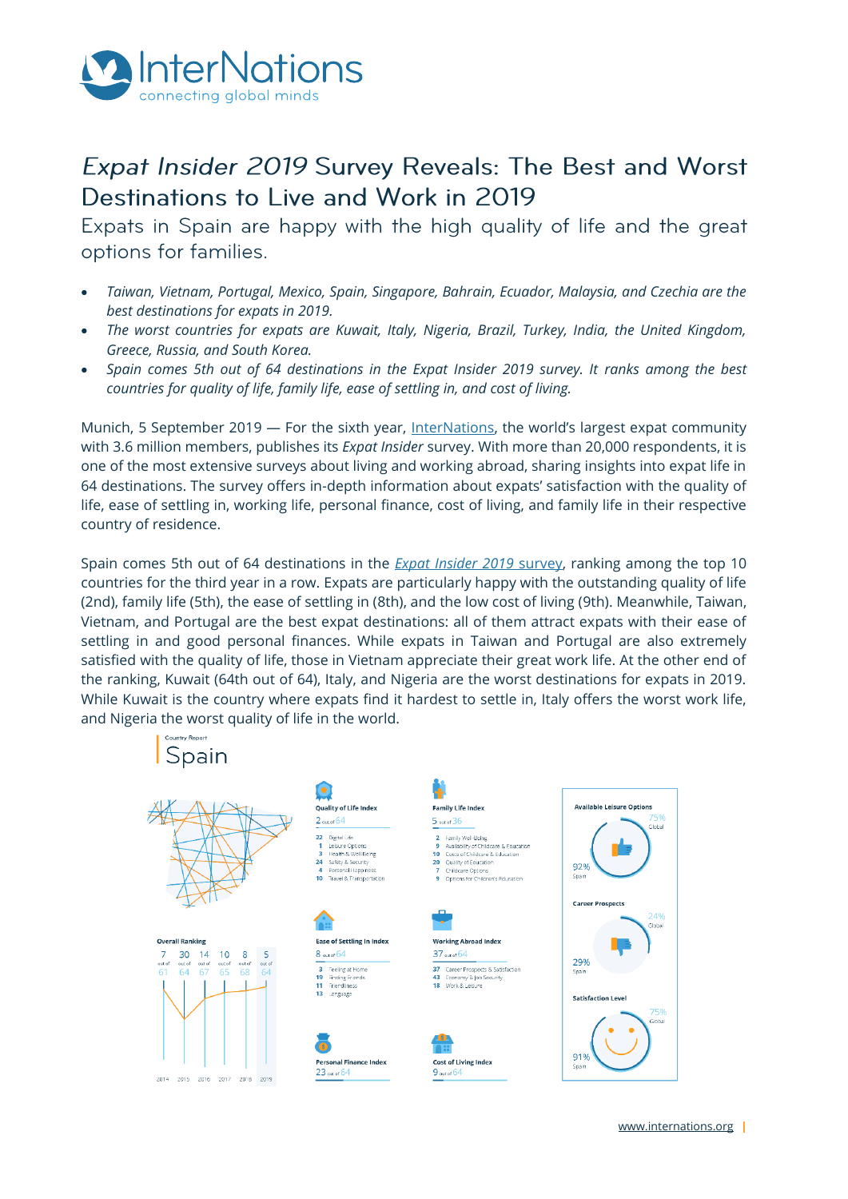

# Expat Insider 2019 Survey Reveals: The Best and Worst Destinations to Live and Work in 2019

Expats in Spain are happy with the high quality of life and the great options for families.

- *Taiwan, Vietnam, Portugal, Mexico, Spain, Singapore, Bahrain, Ecuador, Malaysia, and Czechia are the best destinations for expats in 2019.*
- *The worst countries for expats are Kuwait, Italy, Nigeria, Brazil, Turkey, India, the United Kingdom, Greece, Russia, and South Korea.*
- *Spain comes 5th out of 64 destinations in the Expat Insider 2019 survey. It ranks among the best countries for quality of life, family life, ease of settling in, and cost of living.*

Munich, 5 September 2019 — For the sixth year, [InterNations](http://www.internations.org/), the world's largest expat community with 3.6 million members, publishes its *Expat Insider* survey. With more than 20,000 respondents, it is one of the most extensive surveys about living and working abroad, sharing insights into expat life in 64 destinations. The survey offers in-depth information about expats' satisfaction with the quality of life, ease of settling in, working life, personal finance, cost of living, and family life in their respective country of residence.

Spain comes 5th out of 64 destinations in the *[Expat Insider 2019](http://www.internations.org/expat-insider)* survey, ranking among the top 10 countries for the third year in a row. Expats are particularly happy with the outstanding quality of life (2nd), family life (5th), the ease of settling in (8th), and the low cost of living (9th). Meanwhile, Taiwan, Vietnam, and Portugal are the best expat destinations: all of them attract expats with their ease of settling in and good personal finances. While expats in Taiwan and Portugal are also extremely satisfied with the quality of life, those in Vietnam appreciate their great work life. At the other end of the ranking, Kuwait (64th out of 64), Italy, and Nigeria are the worst destinations for expats in 2019. While Kuwait is the country where expats find it hardest to settle in, Italy offers the worst work life, and Nigeria the worst quality of life in the world.

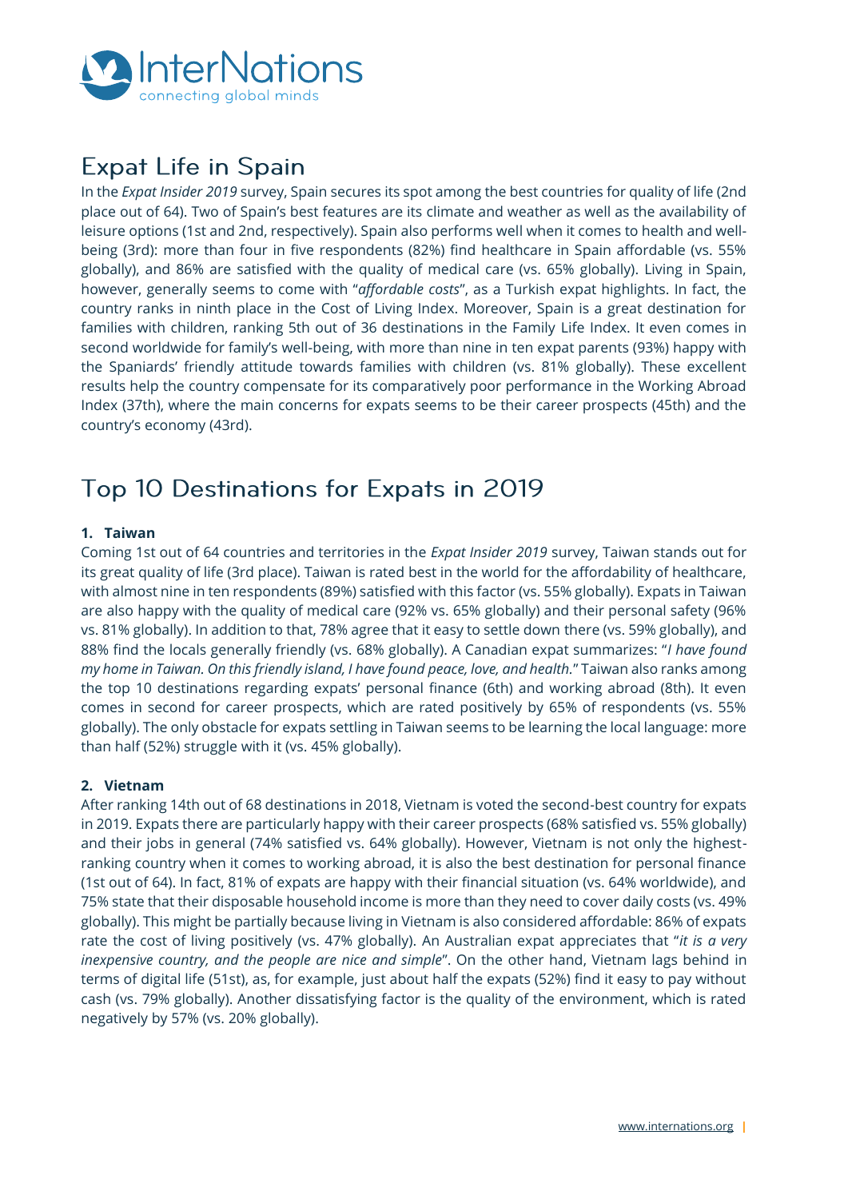

# **Expat Life in Spain**

In the *Expat Insider 2019* survey, Spain secures its spot among the best countries for quality of life (2nd place out of 64). Two of Spain's best features are its climate and weather as well as the availability of leisure options (1st and 2nd, respectively). Spain also performs well when it comes to health and wellbeing (3rd): more than four in five respondents (82%) find healthcare in Spain affordable (vs. 55% globally), and 86% are satisfied with the quality of medical care (vs. 65% globally). Living in Spain, however, generally seems to come with "*affordable costs*", as a Turkish expat highlights. In fact, the country ranks in ninth place in the Cost of Living Index. Moreover, Spain is a great destination for families with children, ranking 5th out of 36 destinations in the Family Life Index. It even comes in second worldwide for family's well-being, with more than nine in ten expat parents (93%) happy with the Spaniards' friendly attitude towards families with children (vs. 81% globally). These excellent results help the country compensate for its comparatively poor performance in the Working Abroad Index (37th), where the main concerns for expats seems to be their career prospects (45th) and the country's economy (43rd).

## Top 10 Destinations for Expats in 2019

## **1. Taiwan**

Coming 1st out of 64 countries and territories in the *Expat Insider 2019* survey, Taiwan stands out for its great quality of life (3rd place). Taiwan is rated best in the world for the affordability of healthcare, with almost nine in ten respondents (89%) satisfied with this factor (vs. 55% globally). Expats in Taiwan are also happy with the quality of medical care (92% vs. 65% globally) and their personal safety (96% vs. 81% globally). In addition to that, 78% agree that it easy to settle down there (vs. 59% globally), and 88% find the locals generally friendly (vs. 68% globally). A Canadian expat summarizes: "*I have found my home in Taiwan. On this friendly island, I have found peace, love, and health.*" Taiwan also ranks among the top 10 destinations regarding expats' personal finance (6th) and working abroad (8th). It even comes in second for career prospects, which are rated positively by 65% of respondents (vs. 55% globally). The only obstacle for expats settling in Taiwan seems to be learning the local language: more than half (52%) struggle with it (vs. 45% globally).

## **2. Vietnam**

After ranking 14th out of 68 destinations in 2018, Vietnam is voted the second-best country for expats in 2019. Expats there are particularly happy with their career prospects (68% satisfied vs. 55% globally) and their jobs in general (74% satisfied vs. 64% globally). However, Vietnam is not only the highestranking country when it comes to working abroad, it is also the best destination for personal finance (1st out of 64). In fact, 81% of expats are happy with their financial situation (vs. 64% worldwide), and 75% state that their disposable household income is more than they need to cover daily costs (vs. 49% globally). This might be partially because living in Vietnam is also considered affordable: 86% of expats rate the cost of living positively (vs. 47% globally). An Australian expat appreciates that "*it is a very inexpensive country, and the people are nice and simple*". On the other hand, Vietnam lags behind in terms of digital life (51st), as, for example, just about half the expats (52%) find it easy to pay without cash (vs. 79% globally). Another dissatisfying factor is the quality of the environment, which is rated negatively by 57% (vs. 20% globally).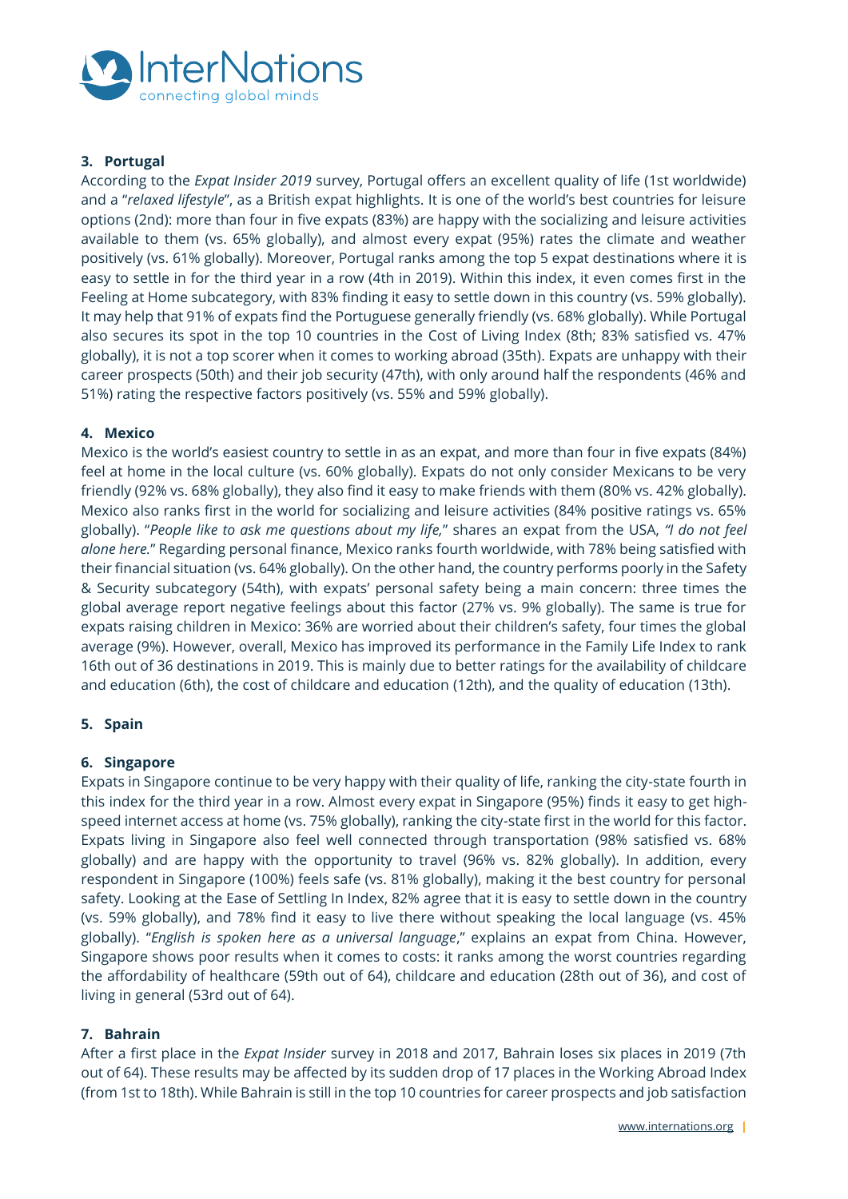

## **3. Portugal**

According to the *Expat Insider 2019* survey, Portugal offers an excellent quality of life (1st worldwide) and a "*relaxed lifestyle*", as a British expat highlights. It is one of the world's best countries for leisure options (2nd): more than four in five expats (83%) are happy with the socializing and leisure activities available to them (vs. 65% globally), and almost every expat (95%) rates the climate and weather positively (vs. 61% globally). Moreover, Portugal ranks among the top 5 expat destinations where it is easy to settle in for the third year in a row (4th in 2019). Within this index, it even comes first in the Feeling at Home subcategory, with 83% finding it easy to settle down in this country (vs. 59% globally). It may help that 91% of expats find the Portuguese generally friendly (vs. 68% globally). While Portugal also secures its spot in the top 10 countries in the Cost of Living Index (8th; 83% satisfied vs. 47% globally), it is not a top scorer when it comes to working abroad (35th). Expats are unhappy with their career prospects (50th) and their job security (47th), with only around half the respondents (46% and 51%) rating the respective factors positively (vs. 55% and 59% globally).

## **4. Mexico**

Mexico is the world's easiest country to settle in as an expat, and more than four in five expats (84%) feel at home in the local culture (vs. 60% globally). Expats do not only consider Mexicans to be very friendly (92% vs. 68% globally), they also find it easy to make friends with them (80% vs. 42% globally). Mexico also ranks first in the world for socializing and leisure activities (84% positive ratings vs. 65% globally). "*People like to ask me questions about my life,*" shares an expat from the USA, *"I do not feel alone here.*" Regarding personal finance, Mexico ranks fourth worldwide, with 78% being satisfied with their financial situation (vs. 64% globally). On the other hand, the country performs poorly in the Safety & Security subcategory (54th), with expats' personal safety being a main concern: three times the global average report negative feelings about this factor (27% vs. 9% globally). The same is true for expats raising children in Mexico: 36% are worried about their children's safety, four times the global average (9%). However, overall, Mexico has improved its performance in the Family Life Index to rank 16th out of 36 destinations in 2019. This is mainly due to better ratings for the availability of childcare and education (6th), the cost of childcare and education (12th), and the quality of education (13th).

## **5. Spain**

## **6. Singapore**

Expats in Singapore continue to be very happy with their quality of life, ranking the city-state fourth in this index for the third year in a row. Almost every expat in Singapore (95%) finds it easy to get highspeed internet access at home (vs. 75% globally), ranking the city-state first in the world for this factor. Expats living in Singapore also feel well connected through transportation (98% satisfied vs. 68% globally) and are happy with the opportunity to travel (96% vs. 82% globally). In addition, every respondent in Singapore (100%) feels safe (vs. 81% globally), making it the best country for personal safety. Looking at the Ease of Settling In Index, 82% agree that it is easy to settle down in the country (vs. 59% globally), and 78% find it easy to live there without speaking the local language (vs. 45% globally). "*English is spoken here as a universal language*," explains an expat from China. However, Singapore shows poor results when it comes to costs: it ranks among the worst countries regarding the affordability of healthcare (59th out of 64), childcare and education (28th out of 36), and cost of living in general (53rd out of 64).

## **7. Bahrain**

After a first place in the *Expat Insider* survey in 2018 and 2017, Bahrain loses six places in 2019 (7th out of 64). These results may be affected by its sudden drop of 17 places in the Working Abroad Index (from 1st to 18th). While Bahrain is still in the top 10 countries for career prospects and job satisfaction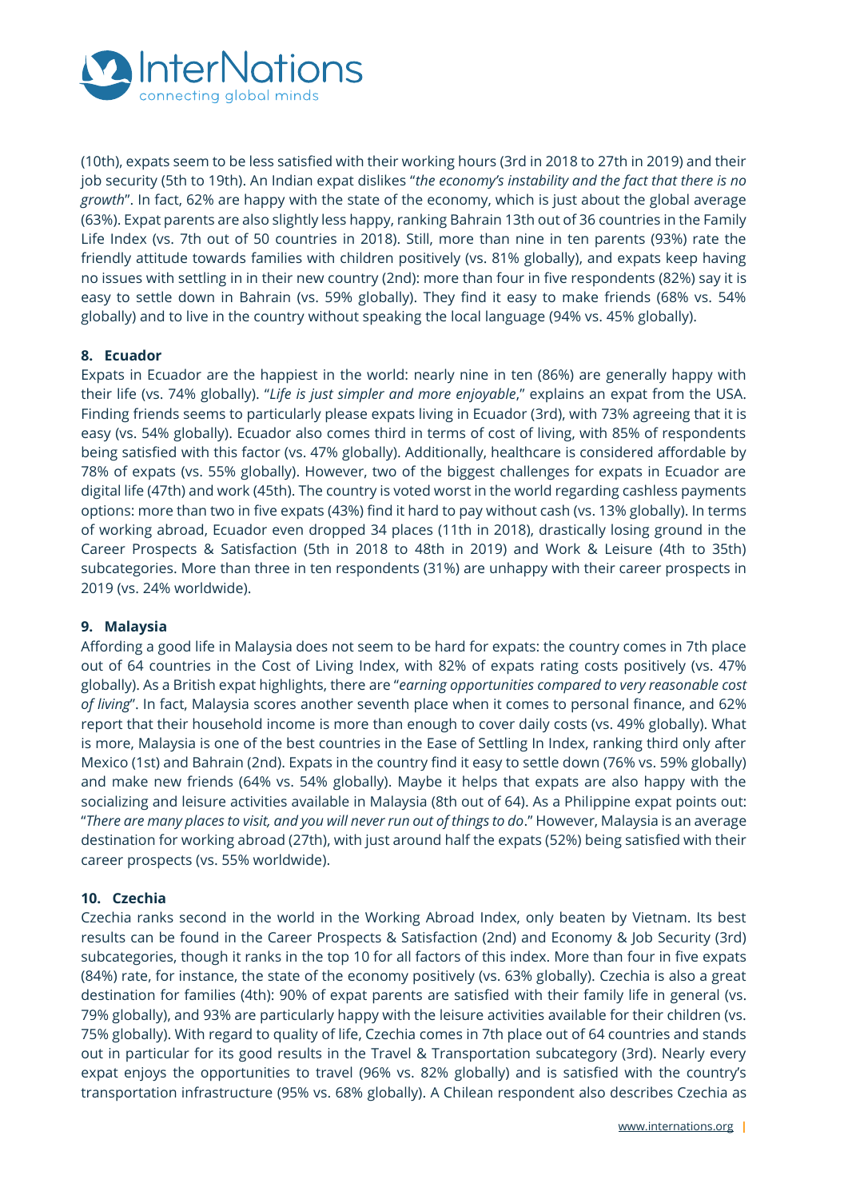

(10th), expats seem to be less satisfied with their working hours (3rd in 2018 to 27th in 2019) and their job security (5th to 19th). An Indian expat dislikes "*the economy's instability and the fact that there is no growth*". In fact, 62% are happy with the state of the economy, which is just about the global average (63%). Expat parents are also slightly less happy, ranking Bahrain 13th out of 36 countries in the Family Life Index (vs. 7th out of 50 countries in 2018). Still, more than nine in ten parents (93%) rate the friendly attitude towards families with children positively (vs. 81% globally), and expats keep having no issues with settling in in their new country (2nd): more than four in five respondents (82%) say it is easy to settle down in Bahrain (vs. 59% globally). They find it easy to make friends (68% vs. 54% globally) and to live in the country without speaking the local language (94% vs. 45% globally).

## **8. Ecuador**

Expats in Ecuador are the happiest in the world: nearly nine in ten (86%) are generally happy with their life (vs. 74% globally). "*Life is just simpler and more enjoyable*," explains an expat from the USA. Finding friends seems to particularly please expats living in Ecuador (3rd), with 73% agreeing that it is easy (vs. 54% globally). Ecuador also comes third in terms of cost of living, with 85% of respondents being satisfied with this factor (vs. 47% globally). Additionally, healthcare is considered affordable by 78% of expats (vs. 55% globally). However, two of the biggest challenges for expats in Ecuador are digital life (47th) and work (45th). The country is voted worst in the world regarding cashless payments options: more than two in five expats (43%) find it hard to pay without cash (vs. 13% globally). In terms of working abroad, Ecuador even dropped 34 places (11th in 2018), drastically losing ground in the Career Prospects & Satisfaction (5th in 2018 to 48th in 2019) and Work & Leisure (4th to 35th) subcategories. More than three in ten respondents (31%) are unhappy with their career prospects in 2019 (vs. 24% worldwide).

## **9. Malaysia**

Affording a good life in Malaysia does not seem to be hard for expats: the country comes in 7th place out of 64 countries in the Cost of Living Index, with 82% of expats rating costs positively (vs. 47% globally). As a British expat highlights, there are "*earning opportunities compared to very reasonable cost of living*". In fact, Malaysia scores another seventh place when it comes to personal finance, and 62% report that their household income is more than enough to cover daily costs (vs. 49% globally). What is more, Malaysia is one of the best countries in the Ease of Settling In Index, ranking third only after Mexico (1st) and Bahrain (2nd). Expats in the country find it easy to settle down (76% vs. 59% globally) and make new friends (64% vs. 54% globally). Maybe it helps that expats are also happy with the socializing and leisure activities available in Malaysia (8th out of 64). As a Philippine expat points out: "*There are many places to visit, and you will never run out of things to do*." However, Malaysia is an average destination for working abroad (27th), with just around half the expats (52%) being satisfied with their career prospects (vs. 55% worldwide).

## **10. Czechia**

Czechia ranks second in the world in the Working Abroad Index, only beaten by Vietnam. Its best results can be found in the Career Prospects & Satisfaction (2nd) and Economy & Job Security (3rd) subcategories, though it ranks in the top 10 for all factors of this index. More than four in five expats (84%) rate, for instance, the state of the economy positively (vs. 63% globally). Czechia is also a great destination for families (4th): 90% of expat parents are satisfied with their family life in general (vs. 79% globally), and 93% are particularly happy with the leisure activities available for their children (vs. 75% globally). With regard to quality of life, Czechia comes in 7th place out of 64 countries and stands out in particular for its good results in the Travel & Transportation subcategory (3rd). Nearly every expat enjoys the opportunities to travel (96% vs. 82% globally) and is satisfied with the country's transportation infrastructure (95% vs. 68% globally). A Chilean respondent also describes Czechia as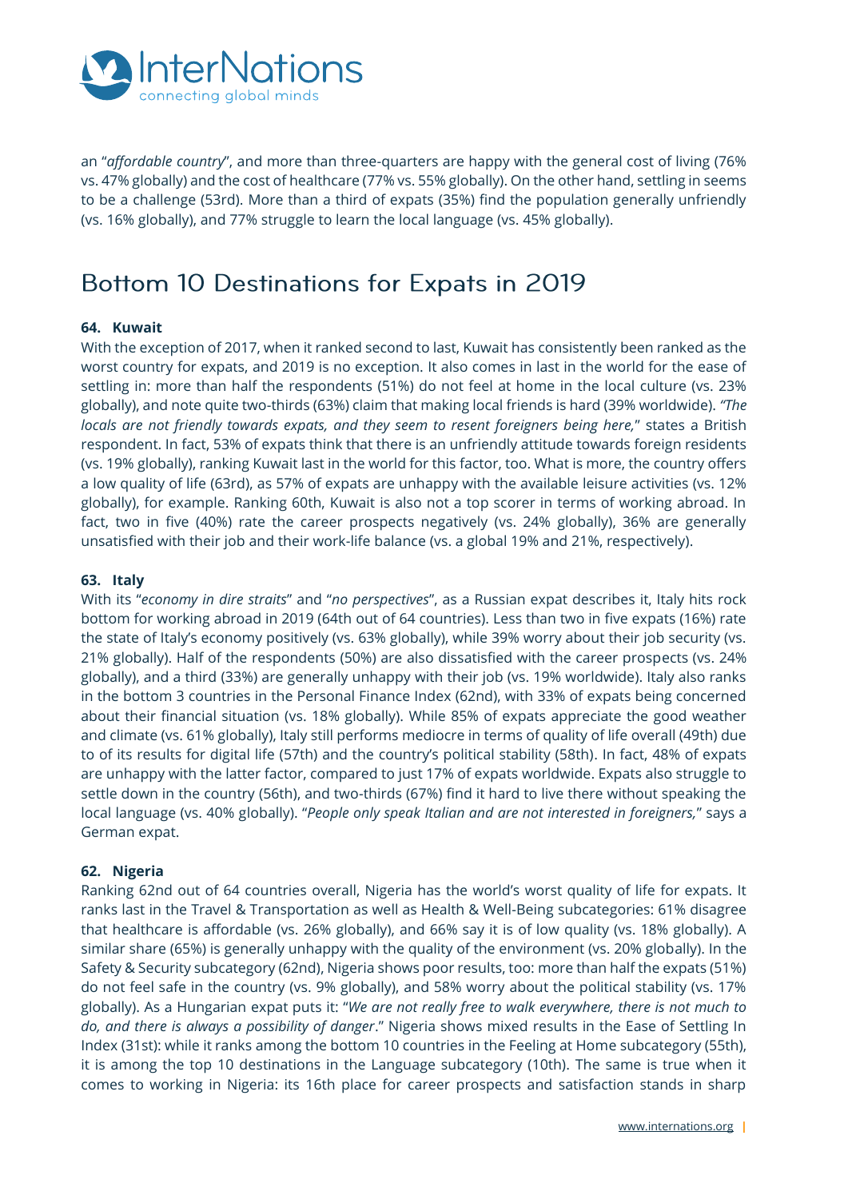

an "*affordable country*", and more than three-quarters are happy with the general cost of living (76% vs. 47% globally) and the cost of healthcare (77% vs. 55% globally). On the other hand, settling in seems to be a challenge (53rd). More than a third of expats (35%) find the population generally unfriendly (vs. 16% globally), and 77% struggle to learn the local language (vs. 45% globally).

## Bottom 10 Destinations for Expats in 2019

## **64. Kuwait**

With the exception of 2017, when it ranked second to last, Kuwait has consistently been ranked as the worst country for expats, and 2019 is no exception. It also comes in last in the world for the ease of settling in: more than half the respondents (51%) do not feel at home in the local culture (vs. 23% globally), and note quite two-thirds (63%) claim that making local friends is hard (39% worldwide). *"The locals are not friendly towards expats, and they seem to resent foreigners being here,*" states a British respondent. In fact, 53% of expats think that there is an unfriendly attitude towards foreign residents (vs. 19% globally), ranking Kuwait last in the world for this factor, too. What is more, the country offers a low quality of life (63rd), as 57% of expats are unhappy with the available leisure activities (vs. 12% globally), for example. Ranking 60th, Kuwait is also not a top scorer in terms of working abroad. In fact, two in five (40%) rate the career prospects negatively (vs. 24% globally), 36% are generally unsatisfied with their job and their work-life balance (vs. a global 19% and 21%, respectively).

## **63. Italy**

With its "*economy in dire straits*" and "*no perspectives*", as a Russian expat describes it, Italy hits rock bottom for working abroad in 2019 (64th out of 64 countries). Less than two in five expats (16%) rate the state of Italy's economy positively (vs. 63% globally), while 39% worry about their job security (vs. 21% globally). Half of the respondents (50%) are also dissatisfied with the career prospects (vs. 24% globally), and a third (33%) are generally unhappy with their job (vs. 19% worldwide). Italy also ranks in the bottom 3 countries in the Personal Finance Index (62nd), with 33% of expats being concerned about their financial situation (vs. 18% globally). While 85% of expats appreciate the good weather and climate (vs. 61% globally), Italy still performs mediocre in terms of quality of life overall (49th) due to of its results for digital life (57th) and the country's political stability (58th). In fact, 48% of expats are unhappy with the latter factor, compared to just 17% of expats worldwide. Expats also struggle to settle down in the country (56th), and two-thirds (67%) find it hard to live there without speaking the local language (vs. 40% globally). "*People only speak Italian and are not interested in foreigners,*" says a German expat.

## **62. Nigeria**

Ranking 62nd out of 64 countries overall, Nigeria has the world's worst quality of life for expats. It ranks last in the Travel & Transportation as well as Health & Well-Being subcategories: 61% disagree that healthcare is affordable (vs. 26% globally), and 66% say it is of low quality (vs. 18% globally). A similar share (65%) is generally unhappy with the quality of the environment (vs. 20% globally). In the Safety & Security subcategory (62nd), Nigeria shows poor results, too: more than half the expats (51%) do not feel safe in the country (vs. 9% globally), and 58% worry about the political stability (vs. 17% globally). As a Hungarian expat puts it: "*We are not really free to walk everywhere, there is not much to do, and there is always a possibility of danger*." Nigeria shows mixed results in the Ease of Settling In Index (31st): while it ranks among the bottom 10 countries in the Feeling at Home subcategory (55th), it is among the top 10 destinations in the Language subcategory (10th). The same is true when it comes to working in Nigeria: its 16th place for career prospects and satisfaction stands in sharp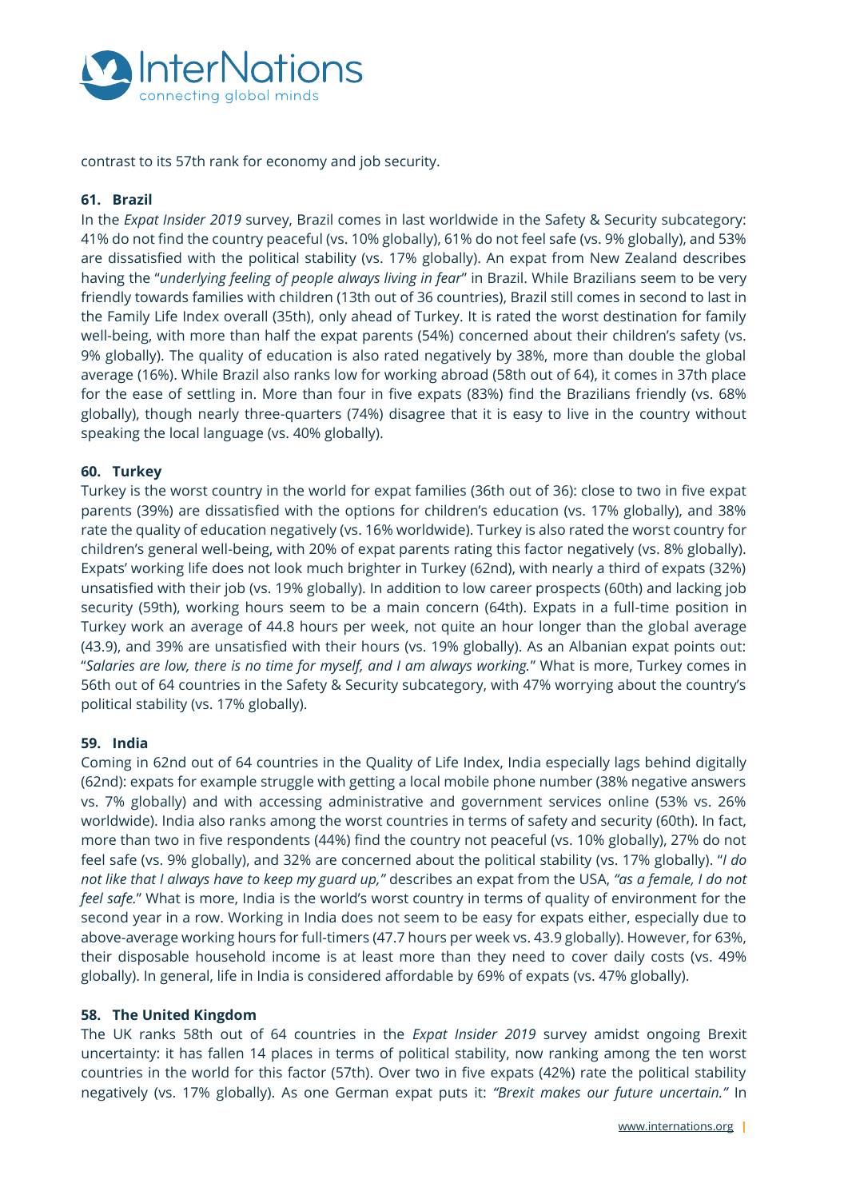

contrast to its 57th rank for economy and job security.

## **61. Brazil**

In the *Expat Insider 2019* survey, Brazil comes in last worldwide in the Safety & Security subcategory: 41% do not find the country peaceful (vs. 10% globally), 61% do not feel safe (vs. 9% globally), and 53% are dissatisfied with the political stability (vs. 17% globally). An expat from New Zealand describes having the "*underlying feeling of people always living in fear*" in Brazil. While Brazilians seem to be very friendly towards families with children (13th out of 36 countries), Brazil still comes in second to last in the Family Life Index overall (35th), only ahead of Turkey. It is rated the worst destination for family well-being, with more than half the expat parents (54%) concerned about their children's safety (vs. 9% globally). The quality of education is also rated negatively by 38%, more than double the global average (16%). While Brazil also ranks low for working abroad (58th out of 64), it comes in 37th place for the ease of settling in. More than four in five expats (83%) find the Brazilians friendly (vs. 68% globally), though nearly three-quarters (74%) disagree that it is easy to live in the country without speaking the local language (vs. 40% globally).

## **60. Turkey**

Turkey is the worst country in the world for expat families (36th out of 36): close to two in five expat parents (39%) are dissatisfied with the options for children's education (vs. 17% globally), and 38% rate the quality of education negatively (vs. 16% worldwide). Turkey is also rated the worst country for children's general well-being, with 20% of expat parents rating this factor negatively (vs. 8% globally). Expats' working life does not look much brighter in Turkey (62nd), with nearly a third of expats (32%) unsatisfied with their job (vs. 19% globally). In addition to low career prospects (60th) and lacking job security (59th), working hours seem to be a main concern (64th). Expats in a full-time position in Turkey work an average of 44.8 hours per week, not quite an hour longer than the global average (43.9), and 39% are unsatisfied with their hours (vs. 19% globally). As an Albanian expat points out: "*Salaries are low, there is no time for myself, and I am always working.*" What is more, Turkey comes in 56th out of 64 countries in the Safety & Security subcategory, with 47% worrying about the country's political stability (vs. 17% globally).

## **59. India**

Coming in 62nd out of 64 countries in the Quality of Life Index, India especially lags behind digitally (62nd): expats for example struggle with getting a local mobile phone number (38% negative answers vs. 7% globally) and with accessing administrative and government services online (53% vs. 26% worldwide). India also ranks among the worst countries in terms of safety and security (60th). In fact, more than two in five respondents (44%) find the country not peaceful (vs. 10% globally), 27% do not feel safe (vs. 9% globally), and 32% are concerned about the political stability (vs. 17% globally). "*I do not like that I always have to keep my guard up,"* describes an expat from the USA, *"as a female, I do not feel safe.*" What is more, India is the world's worst country in terms of quality of environment for the second year in a row. Working in India does not seem to be easy for expats either, especially due to above-average working hours for full-timers (47.7 hours per week vs. 43.9 globally). However, for 63%, their disposable household income is at least more than they need to cover daily costs (vs. 49% globally). In general, life in India is considered affordable by 69% of expats (vs. 47% globally).

## **58. The United Kingdom**

The UK ranks 58th out of 64 countries in the *Expat Insider 2019* survey amidst ongoing Brexit uncertainty: it has fallen 14 places in terms of political stability, now ranking among the ten worst countries in the world for this factor (57th). Over two in five expats (42%) rate the political stability negatively (vs. 17% globally). As one German expat puts it: *"Brexit makes our future uncertain."* In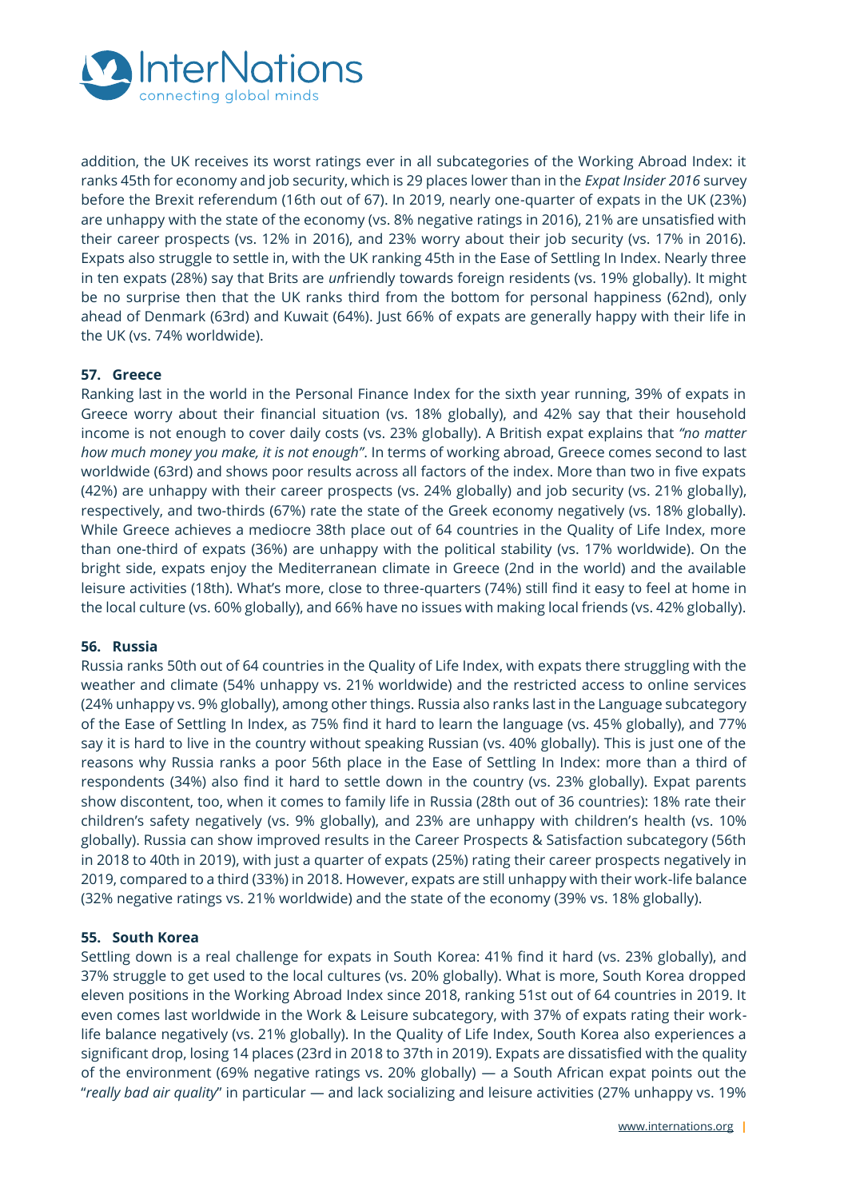

addition, the UK receives its worst ratings ever in all subcategories of the Working Abroad Index: it ranks 45th for economy and job security, which is 29 places lower than in the *Expat Insider 2016* survey before the Brexit referendum (16th out of 67). In 2019, nearly one-quarter of expats in the UK (23%) are unhappy with the state of the economy (vs. 8% negative ratings in 2016), 21% are unsatisfied with their career prospects (vs. 12% in 2016), and 23% worry about their job security (vs. 17% in 2016). Expats also struggle to settle in, with the UK ranking 45th in the Ease of Settling In Index. Nearly three in ten expats (28%) say that Brits are *un*friendly towards foreign residents (vs. 19% globally). It might be no surprise then that the UK ranks third from the bottom for personal happiness (62nd), only ahead of Denmark (63rd) and Kuwait (64%). Just 66% of expats are generally happy with their life in the UK (vs. 74% worldwide).

## **57. Greece**

Ranking last in the world in the Personal Finance Index for the sixth year running, 39% of expats in Greece worry about their financial situation (vs. 18% globally), and 42% say that their household income is not enough to cover daily costs (vs. 23% globally). A British expat explains that *"no matter how much money you make, it is not enough"*. In terms of working abroad, Greece comes second to last worldwide (63rd) and shows poor results across all factors of the index. More than two in five expats (42%) are unhappy with their career prospects (vs. 24% globally) and job security (vs. 21% globally), respectively, and two-thirds (67%) rate the state of the Greek economy negatively (vs. 18% globally). While Greece achieves a mediocre 38th place out of 64 countries in the Quality of Life Index, more than one-third of expats (36%) are unhappy with the political stability (vs. 17% worldwide). On the bright side, expats enjoy the Mediterranean climate in Greece (2nd in the world) and the available leisure activities (18th). What's more, close to three-quarters (74%) still find it easy to feel at home in the local culture (vs. 60% globally), and 66% have no issues with making local friends (vs. 42% globally).

## **56. Russia**

Russia ranks 50th out of 64 countries in the Quality of Life Index, with expats there struggling with the weather and climate (54% unhappy vs. 21% worldwide) and the restricted access to online services (24% unhappy vs. 9% globally), among other things. Russia also ranks last in the Language subcategory of the Ease of Settling In Index, as 75% find it hard to learn the language (vs. 45% globally), and 77% say it is hard to live in the country without speaking Russian (vs. 40% globally). This is just one of the reasons why Russia ranks a poor 56th place in the Ease of Settling In Index: more than a third of respondents (34%) also find it hard to settle down in the country (vs. 23% globally). Expat parents show discontent, too, when it comes to family life in Russia (28th out of 36 countries): 18% rate their children's safety negatively (vs. 9% globally), and 23% are unhappy with children's health (vs. 10% globally). Russia can show improved results in the Career Prospects & Satisfaction subcategory (56th in 2018 to 40th in 2019), with just a quarter of expats (25%) rating their career prospects negatively in 2019, compared to a third (33%) in 2018. However, expats are still unhappy with their work-life balance (32% negative ratings vs. 21% worldwide) and the state of the economy (39% vs. 18% globally).

## **55. South Korea**

Settling down is a real challenge for expats in South Korea: 41% find it hard (vs. 23% globally), and 37% struggle to get used to the local cultures (vs. 20% globally). What is more, South Korea dropped eleven positions in the Working Abroad Index since 2018, ranking 51st out of 64 countries in 2019. It even comes last worldwide in the Work & Leisure subcategory, with 37% of expats rating their worklife balance negatively (vs. 21% globally). In the Quality of Life Index, South Korea also experiences a significant drop, losing 14 places (23rd in 2018 to 37th in 2019). Expats are dissatisfied with the quality of the environment (69% negative ratings vs. 20% globally) — a South African expat points out the "*really bad air quality*" in particular — and lack socializing and leisure activities (27% unhappy vs. 19%